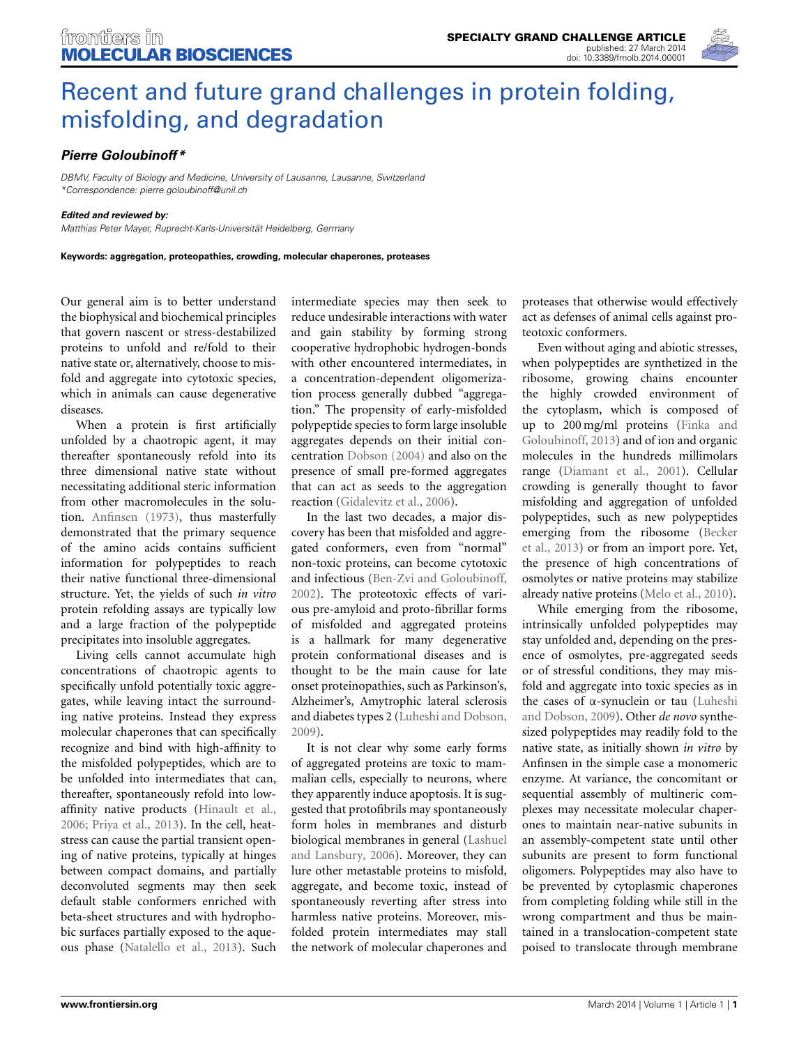

# [Recent and future grand challenges in protein folding,](http://www.frontiersin.org/journal/10.3389/fmolb.2014.00001/full) misfolding, and degradation

## *[Pierre Goloubinoff\\*](http://community.frontiersin.org/people/u/128891)*

*DBMV, Faculty of Biology and Medicine, University of Lausanne, Lausanne, Switzerland \*Correspondence: pierre.goloubinoff@unil.ch*

#### *Edited and reviewed by:*

*Matthias Peter Mayer, Ruprecht-Karls-Universität Heidelberg, Germany*

**Keywords: aggregation, proteopathies, crowding, molecular chaperones, proteases**

Our general aim is to better understand the biophysical and biochemical principles that govern nascent or stress-destabilized proteins to unfold and re/fold to their native state or, alternatively, choose to misfold and aggregate into cytotoxic species, which in animals can cause degenerative diseases.

When a protein is first artificially unfolded by a chaotropic agent, it may thereafter spontaneously refold into its three dimensional native state without necessitating additional steric information from other macromolecules in the solution. [Anfinsen](#page-1-0) [\(1973\)](#page-1-0), thus masterfully demonstrated that the primary sequence of the amino acids contains sufficient information for polypeptides to reach their native functional three-dimensional structure. Yet, the yields of such *in vitro* protein refolding assays are typically low and a large fraction of the polypeptide precipitates into insoluble aggregates.

Living cells cannot accumulate high concentrations of chaotropic agents to specifically unfold potentially toxic aggregates, while leaving intact the surrounding native proteins. Instead they express molecular chaperones that can specifically recognize and bind with high-affinity to the misfolded polypeptides, which are to be unfolded into intermediates that can, thereafter, spontaneously refold into lowaffinity native products [\(Hinault et al.,](#page-2-0) [2006](#page-2-0); [Priya et al., 2013](#page-2-1)). In the cell, heatstress can cause the partial transient opening of native proteins, typically at hinges between compact domains, and partially deconvoluted segments may then seek default stable conformers enriched with beta-sheet structures and with hydrophobic surfaces partially exposed to the aqueous phase [\(Natalello et al., 2013\)](#page-2-2). Such intermediate species may then seek to reduce undesirable interactions with water and gain stability by forming strong cooperative hydrophobic hydrogen-bonds with other encountered intermediates, in a concentration-dependent oligomerization process generally dubbed "aggregation." The propensity of early-misfolded polypeptide species to form large insoluble aggregates depends on their initial concentration [Dobson](#page-1-1) [\(2004](#page-1-1)) and also on the presence of small pre-formed aggregates that can act as seeds to the aggregation reaction [\(Gidalevitz et al., 2006](#page-1-2)).

In the last two decades, a major discovery has been that misfolded and aggregated conformers, even from "normal" non-toxic proteins, can become cytotoxic and infectious [\(Ben-Zvi and Goloubinoff,](#page-1-3) [2002](#page-1-3)). The proteotoxic effects of various pre-amyloid and proto-fibrillar forms of misfolded and aggregated proteins is a hallmark for many degenerative protein conformational diseases and is thought to be the main cause for late onset proteinopathies, such as Parkinson's, Alzheimer's, Amytrophic lateral sclerosis and diabetes types 2 [\(Luheshi and Dobson,](#page-2-3) [2009](#page-2-3)).

It is not clear why some early forms of aggregated proteins are toxic to mammalian cells, especially to neurons, where they apparently induce apoptosis. It is suggested that protofibrils may spontaneously form holes in membranes and disturb biological me[mbranes in general \(](#page-2-4)Lashuel and Lansbury, [2006](#page-2-4)). Moreover, they can lure other metastable proteins to misfold, aggregate, and become toxic, instead of spontaneously reverting after stress into harmless native proteins. Moreover, misfolded protein intermediates may stall the network of molecular chaperones and

proteases that otherwise would effectively act as defenses of animal cells against proteotoxic conformers.

Even without aging and abiotic stresses, when polypeptides are synthetized in the ribosome, growing chains encounter the highly crowded environment of the cytoplasm, which is composed of up to 200 [mg/ml proteins \(](#page-1-4)Finka and Goloubinoff, [2013\)](#page-1-4) and of ion and organic molecules in the hundreds millimolars range [\(Diamant et al.](#page-1-5), [2001\)](#page-1-5). Cellular crowding is generally thought to favor misfolding and aggregation of unfolded polypeptides, such as new polypeptides eme[rging from the ribosome \(](#page-1-6)Becker et al., [2013](#page-1-6)) or from an import pore. Yet, the presence of high concentrations of osmolytes or native proteins may stabilize already native proteins [\(Melo et al.](#page-2-5), [2010\)](#page-2-5).

While emerging from the ribosome, intrinsically unfolded polypeptides may stay unfolded and, depending on the presence of osmolytes, pre-aggregated seeds or of stressful conditions, they may misfold and aggregate into toxic species as in the cases of α[-synuclein or tau \(](#page-2-3)Luheshi and Dobson, [2009\)](#page-2-3). Other *de novo* synthesized polypeptides may readily fold to the native state, as initially shown *in vitro* by Anfinsen in the simple case a monomeric enzyme. At variance, the concomitant or sequential assembly of multineric complexes may necessitate molecular chaperones to maintain near-native subunits in an assembly-competent state until other subunits are present to form functional oligomers. Polypeptides may also have to be prevented by cytoplasmic chaperones from completing folding while still in the wrong compartment and thus be maintained in a translocation-competent state poised to translocate through membrane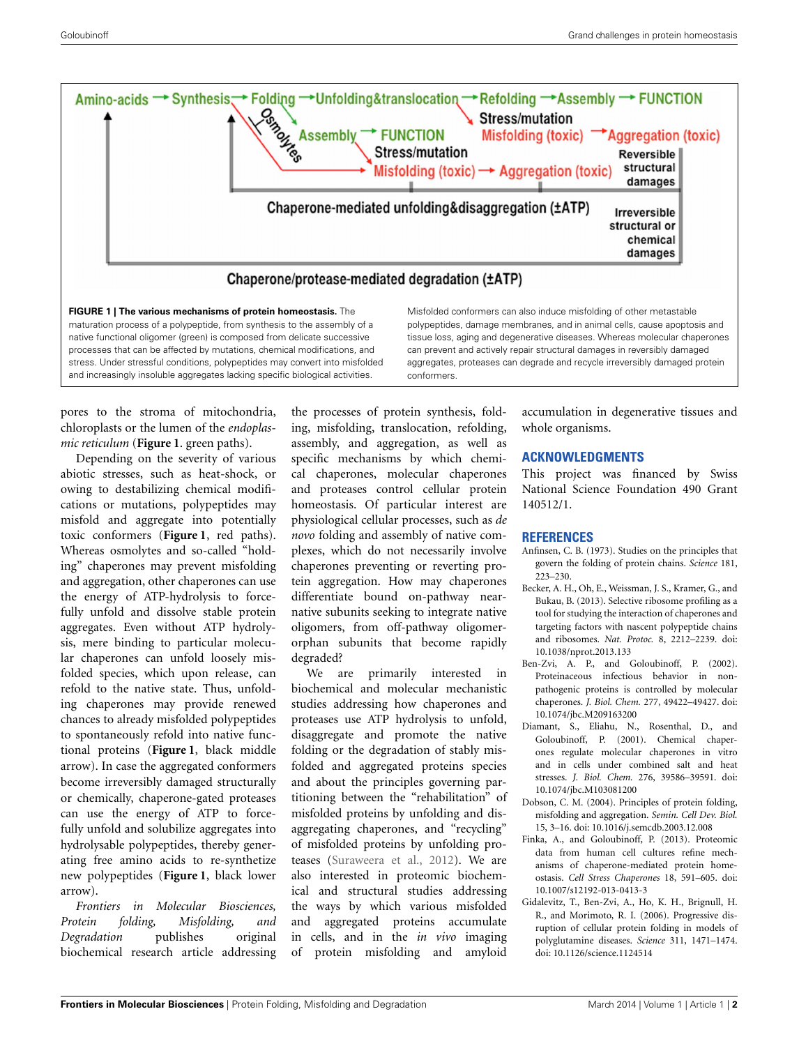

<span id="page-1-7"></span>native functional oligomer (green) is composed from delicate successive processes that can be affected by mutations, chemical modifications, and stress. Under stressful conditions, polypeptides may convert into misfolded and increasingly insoluble aggregates lacking specific biological activities.

pores to the stroma of mitochondria, chloroplasts or the lumen of the *endoplasmic reticulum* (**[Figure 1](#page-1-7)**. green paths).

Depending on the severity of various abiotic stresses, such as heat-shock, or owing to destabilizing chemical modifications or mutations, polypeptides may misfold and aggregate into potentially toxic conformers (**[Figure 1](#page-1-7)**, red paths). Whereas osmolytes and so-called "holding" chaperones may prevent misfolding and aggregation, other chaperones can use the energy of ATP-hydrolysis to forcefully unfold and dissolve stable protein aggregates. Even without ATP hydrolysis, mere binding to particular molecular chaperones can unfold loosely misfolded species, which upon release, can refold to the native state. Thus, unfolding chaperones may provide renewed chances to already misfolded polypeptides to spontaneously refold into native functional proteins (**[Figure 1](#page-1-7)**, black middle arrow). In case the aggregated conformers become irreversibly damaged structurally or chemically, chaperone-gated proteases can use the energy of ATP to forcefully unfold and solubilize aggregates into hydrolysable polypeptides, thereby generating free amino acids to re-synthetize new polypeptides (**[Figure 1](#page-1-7)**, black lower arrow).

*Frontiers in Molecular Biosciences, Protein folding, Misfolding, and Degradation* publishes original biochemical research article addressing the processes of protein synthesis, folding, misfolding, translocation, refolding, assembly, and aggregation, as well as specific mechanisms by which chemical chaperones, molecular chaperones and proteases control cellular protein homeostasis. Of particular interest are physiological cellular processes, such as *de novo* folding and assembly of native complexes, which do not necessarily involve chaperones preventing or reverting protein aggregation. How may chaperones differentiate bound on-pathway nearnative subunits seeking to integrate native oligomers, from off-pathway oligomerorphan subunits that become rapidly degraded?

conformers.

We are primarily interested in biochemical and molecular mechanistic studies addressing how chaperones and proteases use ATP hydrolysis to unfold, disaggregate and promote the native folding or the degradation of stably misfolded and aggregated proteins species and about the principles governing partitioning between the "rehabilitation" of misfolded proteins by unfolding and disaggregating chaperones, and "recycling" of misfolded proteins by unfolding proteases [\(Suraweera et al., 2012](#page-2-6)). We are also interested in proteomic biochemical and structural studies addressing the ways by which various misfolded and aggregated proteins accumulate in cells, and in the *in vivo* imaging of protein misfolding and amyloid

accumulation in degenerative tissues and

## **ACKNOWLEDGMENTS**

whole organisms.

This project was financed by Swiss National Science Foundation 490 Grant 140512/1.

## **REFERENCES**

can prevent and actively repair structural damages in reversibly damaged aggregates, proteases can degrade and recycle irreversibly damaged protein

- <span id="page-1-0"></span>Anfinsen, C. B. (1973). Studies on the principles that govern the folding of protein chains. *Science* 181, 223–230.
- <span id="page-1-6"></span>Becker, A. H., Oh, E., Weissman, J. S., Kramer, G., and Bukau, B. (2013). Selective ribosome profiling as a tool for studying the interaction of chaperones and targeting factors with nascent polypeptide chains and ribosomes. *Nat. Protoc.* 8, 2212–2239. doi: 10.1038/nprot.2013.133
- <span id="page-1-3"></span>Ben-Zvi, A. P., and Goloubinoff, P. (2002). Proteinaceous infectious behavior in nonpathogenic proteins is controlled by molecular chaperones. *J. Biol. Chem.* 277, 49422–49427. doi: 10.1074/jbc.M209163200
- <span id="page-1-5"></span>Diamant, S., Eliahu, N., Rosenthal, D., and Goloubinoff, P. (2001). Chemical chaperones regulate molecular chaperones in vitro and in cells under combined salt and heat stresses. *J. Biol. Chem.* 276, 39586–39591. doi: 10.1074/jbc.M103081200
- <span id="page-1-1"></span>Dobson, C. M. (2004). Principles of protein folding, misfolding and aggregation. *Semin. Cell Dev. Biol.* 15, 3–16. doi: 10.1016/j.semcdb.2003.12.008
- <span id="page-1-4"></span>Finka, A., and Goloubinoff, P. (2013). Proteomic data from human cell cultures refine mechanisms of chaperone-mediated protein homeostasis. *Cell Stress Chaperones* 18, 591–605. doi: 10.1007/s12192-013-0413-3
- <span id="page-1-2"></span>Gidalevitz, T., Ben-Zvi, A., Ho, K. H., Brignull, H. R., and Morimoto, R. I. (2006). Progressive disruption of cellular protein folding in models of polyglutamine diseases. *Science* 311, 1471–1474. doi: 10.1126/science.1124514